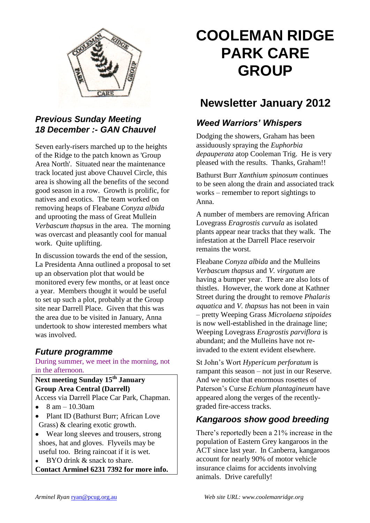

# *Previous Sunday Meeting 18 December :- GAN Chauvel*

Seven early-risers marched up to the heights of the Ridge to the patch known as 'Group Area North'. Situated near the maintenance track located just above Chauvel Circle, this area is showing all the benefits of the second good season in a row. Growth is prolific, for natives and exotics. The team worked on removing heaps of Fleabane *Conyza albida*  and uprooting the mass of Great Mullein *Verbascum thapsus* in the area. The morning was overcast and pleasantly cool for manual work. Quite uplifting.

In discussion towards the end of the session, La Presidenta Anna outlined a proposal to set up an observation plot that would be monitored every few months, or at least once a year. Members thought it would be useful to set up such a plot, probably at the Group site near Darrell Place. Given that this was the area due to be visited in January, Anna undertook to show interested members what was involved.

# *Future programme*

During summer, we meet in the morning, not in the afternoon.

**Next meeting Sunday 15th January Group Area Central (Darrell)** Access via Darrell Place Car Park, Chapman.

- $\bullet$  8 am 10.30am
- Plant ID (Bathurst Burr; African Love Grass) & clearing exotic growth.
- Wear long sleeves and trousers, strong shoes, hat and gloves. Flyveils may be useful too. Bring raincoat if it is wet.

BYO drink & snack to share. **Contact Arminel 6231 7392 for more info.**

# **COOLEMAN RIDGE PARK CARE GROUP**

# **Newsletter January 2012**

## *Weed Warriors' Whispers*

Dodging the showers, Graham has been assiduously spraying the *Euphorbia depauperata* atop Cooleman Trig. He is very pleased with the results. Thanks, Graham!!

Bathurst Burr *Xanthium spinosum* continues to be seen along the drain and associated track works – remember to report sightings to Anna.

A number of members are removing African Lovegrass *Eragrostis curvula* as isolated plants appear near tracks that they walk. The infestation at the Darrell Place reservoir remains the worst.

Fleabane *Conyza albida* and the Mulleins *Verbascum thapsus* and *V. virgatum* are having a bumper year. There are also lots of thistles. However, the work done at Kathner Street during the drought to remove *Phalaris aquatica* and *V. thapsus* has not been in vain – pretty Weeping Grass *Microlaena stipoides* is now well-established in the drainage line; Weeping Lovegrass *Eragrostis parviflora* is abundant; and the Mulleins have not reinvaded to the extent evident elsewhere.

St John's Wort *Hypericum perforatum* is rampant this season – not just in our Reserve. And we notice that enormous rosettes of Paterson's Curse *Echium plantagineum* have appeared along the verges of the recentlygraded fire-access tracks.

# *Kangaroos show good breeding*

There's reportedly been a 21% increase in the population of Eastern Grey kangaroos in the ACT since last year. In Canberra, kangaroos account for nearly 90% of motor vehicle insurance claims for accidents involving animals. Drive carefully!